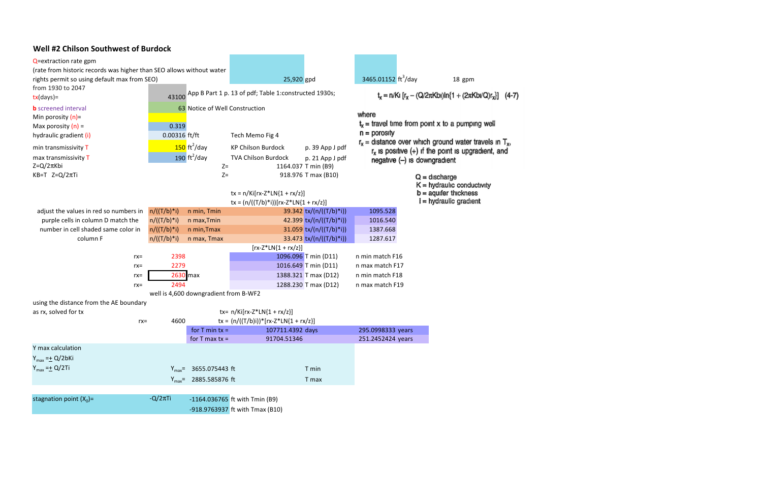#### Well #2 Chilson Southwest of Burdock

| Q=extraction rate gpm                                                     |                 |                                       |                                                             |                           |                                 |                                                                |                                                                                                         |
|---------------------------------------------------------------------------|-----------------|---------------------------------------|-------------------------------------------------------------|---------------------------|---------------------------------|----------------------------------------------------------------|---------------------------------------------------------------------------------------------------------|
| (rate from historic records was higher than SEO allows without water      |                 |                                       |                                                             |                           |                                 |                                                                |                                                                                                         |
| rights permit so using default max from SEO)                              |                 |                                       |                                                             | 25,920 gpd                | 3465.01152 ft <sup>3</sup> /day |                                                                | 18 gpm                                                                                                  |
| from 1930 to 2047<br>$tx/day$ )=                                          |                 |                                       | 43100 App B Part 1 p. 13 of pdf; Table 1:constructed 1930s; |                           |                                 | $t_x = n/Ki [r_x - (Q/2\pi Kbi)ln{1 + (2\pi Kbi/Q)r_x}]$ (4-7) |                                                                                                         |
| <b>b</b> screened interval                                                |                 | 63 Notice of Well Construction        |                                                             |                           |                                 |                                                                |                                                                                                         |
| Min porosity $(n)$ =                                                      |                 |                                       |                                                             |                           | where                           |                                                                |                                                                                                         |
| Max porosity $(n)$ =                                                      | 0.319           |                                       |                                                             |                           |                                 |                                                                | $t_x$ = travel time from point x to a pumping well                                                      |
| hydraulic gradient (i)                                                    | $0.00316$ ft/ft |                                       | Tech Memo Fig 4                                             |                           | $n =$ porosity                  |                                                                |                                                                                                         |
| min transmissivity T                                                      |                 | $150 \text{ ft}^2/\text{day}$         | <b>KP Chilson Burdock</b>                                   | p. 39 App J pdf           |                                 |                                                                | $r_x$ = distance over which ground water travels in $T_x$ ,                                             |
| max transmissivity T                                                      |                 | 190 $\text{ft}^2/\text{day}$          | <b>TVA Chilson Burdock</b>                                  | p. 21 App J pdf           |                                 |                                                                | $r_x$ is positive $(+)$ if the point is upgradient, and                                                 |
| $Z = Q/2\pi K$ bi                                                         |                 | $Z=$                                  |                                                             | 1164.037 T min (B9)       | $negative (-)$ is downgradient  |                                                                |                                                                                                         |
| $KB = T$ Z=Q/2 $\pi$ Ti                                                   |                 | $Z=$                                  | $tx = n/Ki[rx-Z*LN{1 + rx/z}]$                              | 918.976 T max (B10)       |                                 |                                                                | $Q =$ discharge<br>$K =$ hydraulic conductivity<br>$b =$ aquifer thickness<br>$i = h$ ydraulic gradient |
|                                                                           |                 |                                       | $tx = (n/((T/b)*i))[rx-Z*LN{1 + rx/z}]$                     |                           | 1095.528                        |                                                                |                                                                                                         |
| adjust the values in red so numbers in                                    | $n/((T/b)*i)$   | n min, Tmin                           |                                                             | 39.342 tx/(n/((T/b)*i))   | 1016.540                        |                                                                |                                                                                                         |
| purple cells in column D match the<br>number in cell shaded same color in | $n/((T/b)*i)$   | n max, Tmin                           |                                                             | 42.399 tx/(n/((T/b)*i))   | 1387.668                        |                                                                |                                                                                                         |
|                                                                           | $n/((T/b)*i)$   | n min, Tmax                           |                                                             | 31.059 $tx/(n/((T/b)*i))$ |                                 |                                                                |                                                                                                         |
| column F                                                                  | $n/((T/b)*i)$   | n max, Tmax                           |                                                             | 33.473 $tx/(n/((T/b)*i))$ | 1287.617                        |                                                                |                                                                                                         |
|                                                                           |                 |                                       | $[rx-Z*LN{1 + rx/z}]$                                       |                           |                                 |                                                                |                                                                                                         |
| $rx =$                                                                    | 2398            |                                       |                                                             | 1096.096 T min (D11)      | n min match F16                 |                                                                |                                                                                                         |
| $rx =$                                                                    | 2279            |                                       |                                                             | 1016.649 T min (D11)      | n max match F17                 |                                                                |                                                                                                         |
| $rx =$                                                                    | 2630 max        |                                       |                                                             | 1388.321 T max (D12)      | n min match F18                 |                                                                |                                                                                                         |
| $rx =$                                                                    | 2494            |                                       |                                                             | 1288.230 T max (D12)      | n max match F19                 |                                                                |                                                                                                         |
|                                                                           |                 | well is 4,600 downgradient from B-WF2 |                                                             |                           |                                 |                                                                |                                                                                                         |
| using the distance from the AE boundary                                   |                 |                                       |                                                             |                           |                                 |                                                                |                                                                                                         |
| as rx, solved for tx                                                      |                 |                                       | tx= $n/Ki[rx-Z*LN{1 + rx/z}]$                               |                           |                                 |                                                                |                                                                                                         |
| $rx =$                                                                    | 4600            |                                       | $tx = (n/((T/b)i))^*[rx-Z^*LN{1 + rx/z}]$                   |                           |                                 |                                                                |                                                                                                         |
|                                                                           |                 | for $T$ min $tx =$                    | 107711.4392 days                                            |                           | 295.0998333 years               |                                                                |                                                                                                         |
|                                                                           |                 | for $T$ max $tx =$                    | 91704.51346                                                 |                           | 251.2452424 years               |                                                                |                                                                                                         |
| Y max calculation                                                         |                 |                                       |                                                             |                           |                                 |                                                                |                                                                                                         |
| $Y_{max} = \pm Q/2bKi$                                                    |                 |                                       |                                                             |                           |                                 |                                                                |                                                                                                         |
| $Y_{max} = \pm Q/2$ Ti                                                    |                 | $Y_{max}$ 3655.075443 ft              |                                                             | T min                     |                                 |                                                                |                                                                                                         |
|                                                                           |                 | $Y_{max}$ = 2885.585876 ft            |                                                             | T max                     |                                 |                                                                |                                                                                                         |
|                                                                           |                 |                                       |                                                             |                           |                                 |                                                                |                                                                                                         |
| stagnation point $(X_0)$ =                                                | $-Q/2\pi T$ i   |                                       | -1164.036765 ft with Tmin (B9)                              |                           |                                 |                                                                |                                                                                                         |
|                                                                           |                 |                                       | -918.9763937 ft with Tmax (B10)                             |                           |                                 |                                                                |                                                                                                         |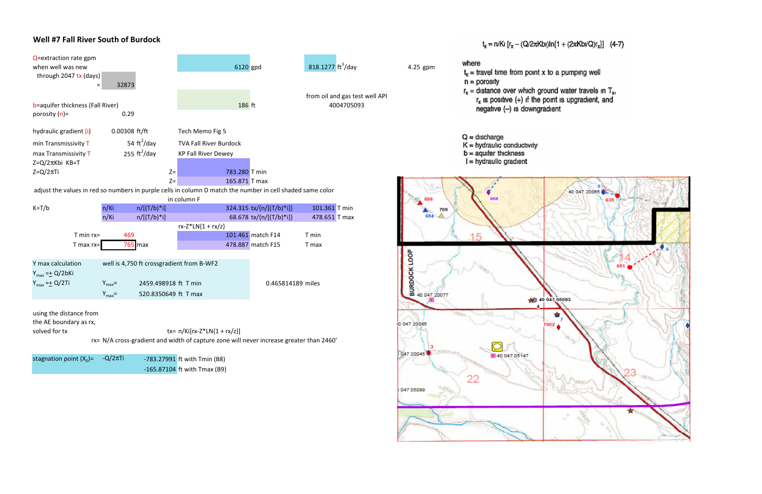### Well #7 Fall River South of Burdock



047 05089

#### $t_x = n/KI$   $[r_x - (Q/2\pi Kb) \ln\{1 + (2\pi KbI/Q)r_x\}]$  (4-7)

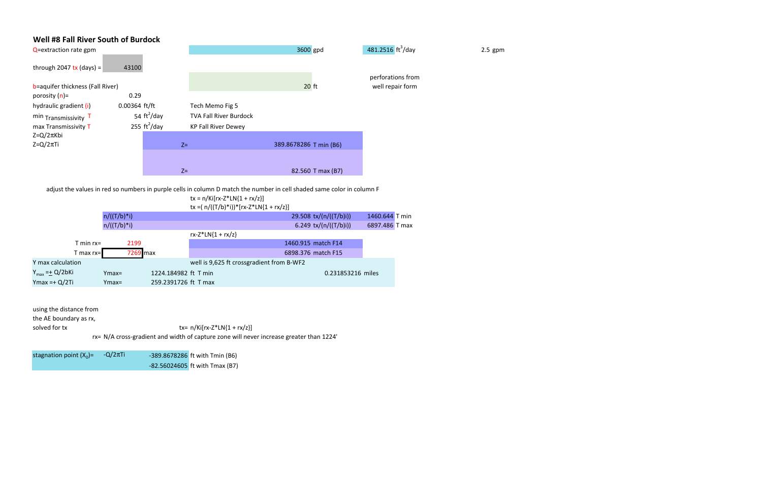#### Well #8 Fall River South of Burdock

| Q=extraction rate gpm            |                              |                               | 3600 gpd               | 481.2516 $\text{ft}^3/\text{day}$ | $2.5$ gpm |
|----------------------------------|------------------------------|-------------------------------|------------------------|-----------------------------------|-----------|
| through 2047 tx (days) =         | 43100                        |                               |                        |                                   |           |
|                                  |                              |                               |                        | perforations from                 |           |
| b=aquifer thickness (Fall River) |                              |                               | $20$ ft                | well repair form                  |           |
| porosity $(n)$ =                 | 0.29                         |                               |                        |                                   |           |
| hydraulic gradient (i)           | $0.00364$ ft/ft              | Tech Memo Fig 5               |                        |                                   |           |
| min $Transmissivity$ $T$         | 54 $\text{ft}^2/\text{day}$  | <b>TVA Fall River Burdock</b> |                        |                                   |           |
| max Transmissivity T             | 255 $\text{ft}^2/\text{day}$ | <b>KP Fall River Dewey</b>    |                        |                                   |           |
| $Z = Q/2\pi Kbi$                 |                              |                               |                        |                                   |           |
| $Z = Q/2\pi T i$                 |                              | $Z =$                         | 389.8678286 T min (B6) |                                   |           |
|                                  |                              |                               |                        |                                   |           |
|                                  |                              |                               |                        |                                   |           |
|                                  |                              | $Z=$                          | 82.560 T max (B7)      |                                   |           |

|                                    |              |               |          |                      | $tx = n/Ki[rx-Z*LN{1 + rx/z}]$            |                        |                |  |
|------------------------------------|--------------|---------------|----------|----------------------|-------------------------------------------|------------------------|----------------|--|
|                                    |              |               |          |                      | tx =( $n/((T/b)*i))*[rx-Z*LN{1 + rx/z}]$  |                        |                |  |
|                                    |              | $n/((T/b)*i)$ |          |                      |                                           | 29.508 tx/(n/((T/b)i)) | 1460.644 T min |  |
|                                    |              | $n/((T/b)*i)$ |          |                      |                                           | 6.249 tx/(n/((T/b)i))  | 6897.486 T max |  |
|                                    |              |               |          |                      | $rx-Z^*LN{1 + rx/z}$                      |                        |                |  |
|                                    | $T$ min rx=  |               | 2199     |                      |                                           | 1460.915 match F14     |                |  |
|                                    | T max $rx =$ |               | 7269 max |                      |                                           | 6898.376 match F15     |                |  |
| Y max calculation                  |              |               |          |                      | well is 9,625 ft crossgradient from B-WF2 |                        |                |  |
| Y <sub>max</sub> = <u>+</u> Q/2bKi |              | $Ymax=$       |          | 1224.184982 ft T min |                                           | 0.231853216 miles      |                |  |
| Ymax =+ Q/2Ti                      |              | $Ymax=$       |          | 259.2391726 ft T max |                                           |                        |                |  |
|                                    |              |               |          |                      |                                           |                        |                |  |

adjust the values in red so numbers in purple cells in column D match the number in cell shaded same color in column F

using the distance from

the AE boundary as rx,

solved for tx  $tx = n/Ki[rx-Z^*LN{1 + rx/z}]$ 

rx= N/A cross-gradient and width of capture zone will never increase greater than 1224'

| stagnation point $(X_0)$ = | $-Q/2\pi$ Ti | -389.8678286 ft with Tmin (B6) |
|----------------------------|--------------|--------------------------------|
|                            |              | -82.56024605 ft with Tmax (B7) |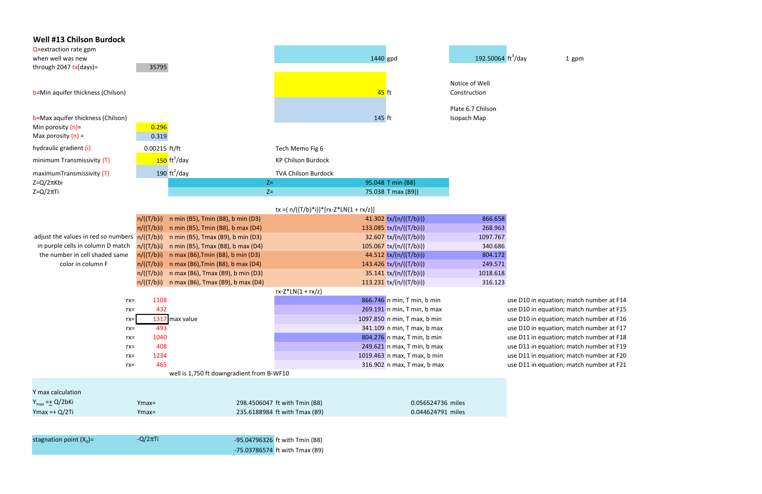| <b>Well #13 Chilson Burdock</b><br>Q=extraction rate gpm                          |                    |                                           |                                          |                              |                                            |                            |
|-----------------------------------------------------------------------------------|--------------------|-------------------------------------------|------------------------------------------|------------------------------|--------------------------------------------|----------------------------|
| when well was new                                                                 |                    |                                           |                                          | 1440 gpd                     | 192.50064 $\frac{\text{ft}^3}{\text{day}}$ | 1 gpm                      |
| through 2047 $tx$ (days)=                                                         | 35795              |                                           |                                          |                              |                                            |                            |
| b=Min aquifer thickness (Chilson)                                                 |                    |                                           |                                          | 45 ft                        | Notice of Well<br>Construction             |                            |
| b=Max aquifer thickness (Chilson)<br>Min porosity $(n)$ =<br>Max porosity $(n)$ = | 0.296<br>0.319     |                                           |                                          | 145 ft                       | Plate 6.7 Chilson<br>Isopach Map           |                            |
|                                                                                   |                    |                                           |                                          |                              |                                            |                            |
| hydraulic gradient (i)                                                            | 0.00215 ft/ft      |                                           | Tech Memo Fig 6                          |                              |                                            |                            |
| minimum Transmissivity (T)                                                        |                    | $150 \text{ ft}^2/\text{day}$             | <b>KP Chilson Burdock</b>                |                              |                                            |                            |
| maximumTransmissivity (T)                                                         |                    | 190 $\text{ft}^2/\text{day}$              | <b>TVA Chilson Burdock</b>               |                              |                                            |                            |
| $Z = Q/2\pi Kbi$                                                                  |                    | $Z =$                                     |                                          | 95.048 T min (B8)            |                                            |                            |
| $Z = Q/2\pi T i$                                                                  |                    | $Z=$                                      |                                          | 75.038 T max (B9))           |                                            |                            |
|                                                                                   |                    |                                           | tx =( $n/((T/b)*i))*[rx-Z*LN{1 + rx/z}]$ |                              |                                            |                            |
|                                                                                   | n/((T/b)i)         | n min (B5), Tmin (B8), b min (D3)         |                                          | 41.302 $tx/(n/((T/b)i))$     | 866.658                                    |                            |
|                                                                                   | n/((T/b)i)         | n min (B5), Tmin (B8), b max (D4)         |                                          | 133.085 $tx/(n/((T/b)i))$    | 268.963                                    |                            |
| adjust the values in red so numbers $n/((T/b)i)$                                  |                    | n min (B5), Tmax (B9), b min (D3)         |                                          | 32.607 $tx/(n/((T/b)i))$     | 1097.767                                   |                            |
| in purple cells in column D match                                                 | n/((T/b)i)         | n min (B5), Tmax (B8), b max (D4)         |                                          | $105.067$ tx/(n/((T/b)i))    | 340.686                                    |                            |
| the number in cell shaded same                                                    | n/((T/b)i)         | n max (B6), Tmin (B8), b min (D3)         |                                          | 44.512 tx/(n/((T/b)i))       | 804.172                                    |                            |
| color in column F                                                                 | n/((T/b)i)         | n max (B6), Tmin (B8), b max (D4)         |                                          | 143.426 tx/(n/((T/b)i))      | 249.571                                    |                            |
|                                                                                   | n/((T/b)i)         | n max (B6), Tmax (B9), b min (D3)         |                                          | $35.141$ tx/(n/((T/b)i))     | 1018.618                                   |                            |
|                                                                                   | n/((T/b)i)         | n max (B6), Tmax (B9), b max (D4)         |                                          | 113.231 $tx/(n/((T/b)i))$    | 316.123                                    |                            |
|                                                                                   | 1108               |                                           | $rx-Z*LN{1 + rx/z}$                      | 866.746 n min, T min, b min  |                                            | use D10 in equation; match |
| $rx =$<br>$rx =$                                                                  | 432                |                                           |                                          | 269.191 n min, T min, b max  |                                            | use D10 in equation; match |
| $rx=$                                                                             |                    | 1317 max value                            |                                          | 1097.850 n min, T max, b min |                                            | use D10 in equation; match |
| $rx =$                                                                            | 493                |                                           |                                          | 341.109 n min, T max, b max  |                                            | use D10 in equation; match |
| $rx =$                                                                            | 1040               |                                           |                                          | 804.276 n max, T min, b min  |                                            | use D11 in equation; match |
| $rx =$                                                                            | 408                |                                           |                                          | 249.621 n max, T min, b max  |                                            | use D11 in equation; match |
| $rx =$                                                                            | 1234               |                                           |                                          | 1019.463 n max, T max, b min |                                            | use D11 in equation; match |
| $rx =$                                                                            | 465                |                                           |                                          | 316.902 n max, T max, b max  |                                            | use D11 in equation; match |
|                                                                                   |                    | well is 1,750 ft downgradient from B-WF10 |                                          |                              |                                            |                            |
| Y max calculation                                                                 |                    |                                           |                                          |                              |                                            |                            |
| $Y_{max} = \pm Q/2bKi$                                                            |                    |                                           | 298.4506047 ft with Tmin (B8)            | 0.056524736 miles            |                                            |                            |
| Ymax = + $Q/2Ti$                                                                  | $Ymax=$<br>$Ymax=$ |                                           | 235.6188984 ft with Tmax (B9)            | 0.044624791 miles            |                                            |                            |
|                                                                                   |                    |                                           |                                          |                              |                                            |                            |
|                                                                                   |                    |                                           |                                          |                              |                                            |                            |
| stagnation point $(X_0)$ =                                                        | $-Q/2\pi T$ i      |                                           | -95.04796326 ft with Tmin (B8)           |                              |                                            |                            |
|                                                                                   |                    |                                           | $-75.03786574$ ft with Tmax (B9)         |                              |                                            |                            |

uation; match number at F14 uation; match number at F15 uation; match number at F16 uation; match number at F17 uation; match number at F18 uation; match number at F19 uation; match number at F20 uation; match number at F21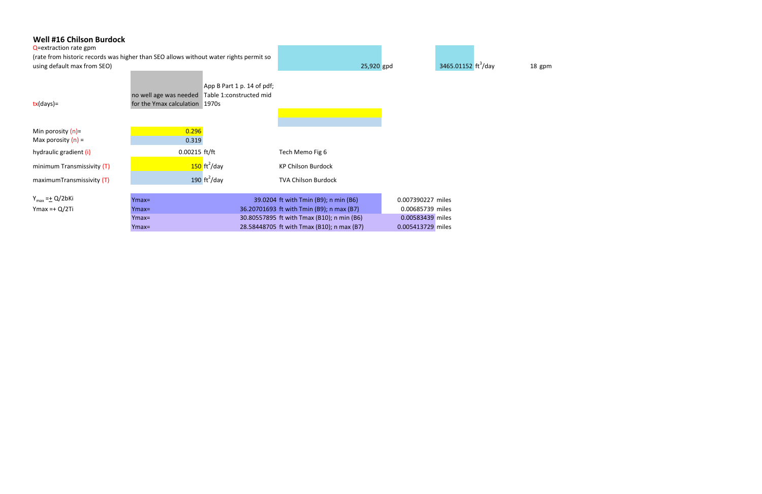| <b>Well #16 Chilson Burdock</b><br>Q=extraction rate gpm<br>(rate from historic records was higher than SEO allows without water rights permit so<br>using default max from SEO) |                                                          |                                                       |                                            | 25,920 gpd |                   | 3465.01152 ft <sup>3</sup> /day | 18 gpm |
|----------------------------------------------------------------------------------------------------------------------------------------------------------------------------------|----------------------------------------------------------|-------------------------------------------------------|--------------------------------------------|------------|-------------------|---------------------------------|--------|
| $tx$ (days)=                                                                                                                                                                     | no well age was needed<br>for the Ymax calculation 1970s | App B Part 1 p. 14 of pdf;<br>Table 1:constructed mid |                                            |            |                   |                                 |        |
| Min porosity $(n)$ =                                                                                                                                                             | 0.296                                                    |                                                       |                                            |            |                   |                                 |        |
| Max porosity $(n)$ =                                                                                                                                                             | 0.319                                                    |                                                       |                                            |            |                   |                                 |        |
| hydraulic gradient (i)                                                                                                                                                           | 0.00215 ft/ft                                            |                                                       | Tech Memo Fig 6                            |            |                   |                                 |        |
| minimum Transmissivity (T)                                                                                                                                                       |                                                          | $150 \text{ ft}^2/\text{day}$                         | <b>KP Chilson Burdock</b>                  |            |                   |                                 |        |
| maximumTransmissivity (T)                                                                                                                                                        |                                                          | 190 $\text{ft}^2/\text{day}$                          | <b>TVA Chilson Burdock</b>                 |            |                   |                                 |        |
|                                                                                                                                                                                  |                                                          |                                                       |                                            |            |                   |                                 |        |
| $Y_{max} = \pm Q/2bKi$                                                                                                                                                           | $Ymax=$                                                  |                                                       | 39.0204 ft with Tmin (B9); n min (B6)      |            | 0.007390227 miles |                                 |        |
| $Ymax = + Q/2Ti$                                                                                                                                                                 | $Ymax=$                                                  |                                                       | 36.20701693 ft with Tmin (B9); n max (B7)  |            | 0.00685739 miles  |                                 |        |
|                                                                                                                                                                                  | $Ymax=$                                                  |                                                       | 30.80557895 ft with Tmax (B10); n min (B6) |            | 0.00583439 miles  |                                 |        |
|                                                                                                                                                                                  | $Ymax=$                                                  |                                                       | 28.58448705 ft with Tmax (B10); n max (B7) |            | 0.005413729 miles |                                 |        |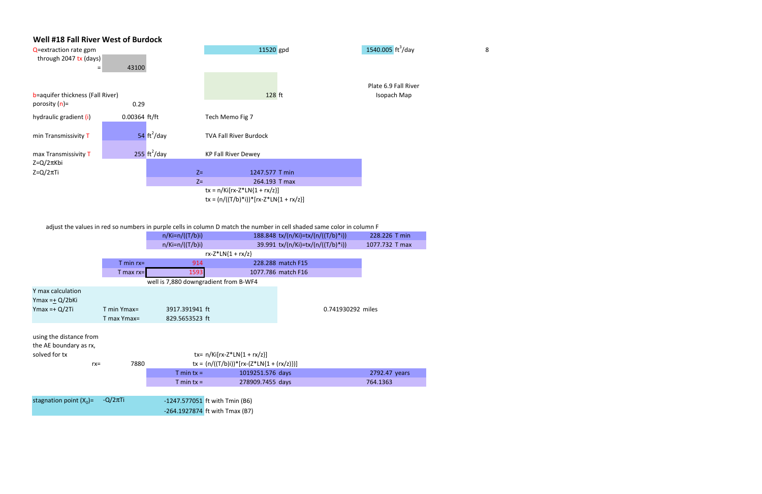

adjust the values in red so numbers in purple cells in column D match the number in cell shaded same color in column F

|                                                   |                | $n/Ki=n/((T/b)i)$                     |                                               | 188.848 tx/(n/Ki)=tx/(n/((T/b)*i)) | 228.226 T min  |
|---------------------------------------------------|----------------|---------------------------------------|-----------------------------------------------|------------------------------------|----------------|
|                                                   |                | $n/Ki=n/((T/b)i)$                     |                                               | 39.991 tx/(n/Ki)=tx/(n/((T/b)*i))  | 1077.732 T max |
|                                                   |                |                                       | $rx-Z^*LN{1 + rx/z}$                          |                                    |                |
|                                                   | $T$ min $rx =$ | 914                                   |                                               | 228.288 match F15                  |                |
|                                                   | $T$ max rx=    | 1593                                  |                                               | 1077.786 match F16                 |                |
|                                                   |                | well is 7,880 downgradient from B-WF4 |                                               |                                    |                |
| Y max calculation                                 |                |                                       |                                               |                                    |                |
| $Y$ max =+ $Q/2b$ Ki                              |                |                                       |                                               |                                    |                |
| $Y$ max =+ $Q/2$ Ti                               | $T$ min Ymax=  | 3917.391941 ft                        |                                               | 0.741930292 miles                  |                |
|                                                   | T max Ymax=    | 829.5653523 ft                        |                                               |                                    |                |
| using the distance from<br>the AE boundary as rx, |                |                                       |                                               |                                    |                |
| solved for tx                                     |                |                                       | tx= $n/Ki[rx-Z*LN{1 + rx/z}]$                 |                                    |                |
| $rx =$                                            | 7880           |                                       | $tx = (n/((T/b)i))^*[rx-(Z^*LN{1 + (rx/z)})]$ |                                    |                |
|                                                   |                | $T \text{ min } tx =$                 | 1019251.576 days                              |                                    | 2792.47 years  |
|                                                   |                | $T \text{ min } tx =$                 | 278909.7455 days                              |                                    | 764.1363       |
|                                                   |                |                                       |                                               |                                    |                |
| stagnation point $(X_0)$ =                        | $-Q/2\pi$ Ti   | -1247.577051 ft with Tmin (B6)        |                                               |                                    |                |
|                                                   |                |                                       | $-264.1927874$ ft with Tmax (B7)              |                                    |                |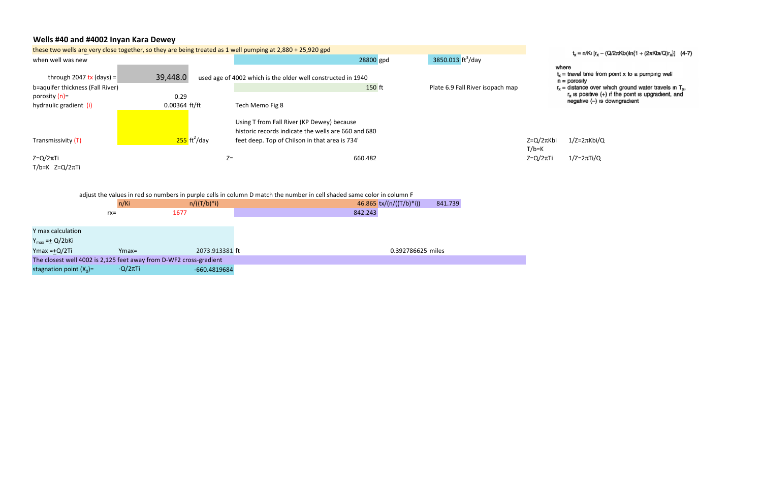## Wells #40 and #4002 Inyan Kara Dewey

| these two wells are very close together, so they are being treated as 1 well pumping at 2,880 + 25,920 gpd |                         |                            |                                                                                                                                                     |                                |                                                                                  |  |
|------------------------------------------------------------------------------------------------------------|-------------------------|----------------------------|-----------------------------------------------------------------------------------------------------------------------------------------------------|--------------------------------|----------------------------------------------------------------------------------|--|
| when well was new                                                                                          |                         |                            | 3850.013 $\frac{\text{ft}^3}{\text{day}}$<br>28800 gpd                                                                                              | $t_x = n/Ki$ [ $r_x - i$       |                                                                                  |  |
| through 2047 tx (days) =<br>b=aquifer thickness (Fall River)                                               | 39,448.0                |                            | used age of 4002 which is the older well constructed in 1940<br>150 ft<br>Plate 6.9 Fall River isopach map                                          |                                | where<br>$t_x$ = travel time from<br>$n =$ porosity<br>$r_x$ = distance over $w$ |  |
| porosity (n)=<br>hydraulic gradient (i)                                                                    | 0.29<br>$0.00364$ ft/ft |                            | Tech Memo Fig 8                                                                                                                                     |                                | $r_x$ is positive $(+)$<br>$negative (-)$ is                                     |  |
| Transmissivity (T)                                                                                         |                         | $255$ ft <sup>2</sup> /day | Using T from Fall River (KP Dewey) because<br>historic records indicate the wells are 660 and 680<br>feet deep. Top of Chilson in that area is 734' | $Z = Q/2\pi K$ bi<br>$T/b = K$ | $1/Z = 2\pi Kbi/Q$                                                               |  |
| $Z = Q/2\pi T i$<br>$T/b=K$ Z=Q/2 $\pi$ Ti                                                                 |                         | $Z =$                      | 660.482                                                                                                                                             | $Z = Q/2\pi T i$               | $1/Z=2\pi Ti/Q$                                                                  |  |

|                            | n/Ki          | $n/((T/b)*i)$                                                      | 46.865 $tx/(n/((T/b)*i))$<br>841.739 |
|----------------------------|---------------|--------------------------------------------------------------------|--------------------------------------|
|                            | $rx =$        | 1677                                                               | 842.243                              |
|                            |               |                                                                    |                                      |
| Y max calculation          |               |                                                                    |                                      |
| $Y_{max} = \pm Q/2bKi$     |               |                                                                    |                                      |
| Ymax = $+Q/2Ti$            | $Ymax=$       | 2073.913381 ft                                                     | 0.392786625 miles                    |
|                            |               | The closest well 4002 is 2,125 feet away from D-WF2 cross-gradient |                                      |
| stagnation point $(X_0)$ = | $-Q/2\pi T$ i | -660.4819684                                                       |                                      |

 $t_x = n/Ki [r_x - (Q/2\pi Kbi)ln{1 + (2\pi Kbi/Q)r_x}]$  (4-7)

- $t_x$  = travel time from point x to a pumping well
- n = porosıty
- $r_x$  = distance over which ground water travels in  $T_x$ ,<br>  $r_x$  is positive (+) if the point is upgradient, and<br>
negative (-) is downgradient

adjust the values in red so numbers in purple cells in column D match the number in cell shaded same color in column F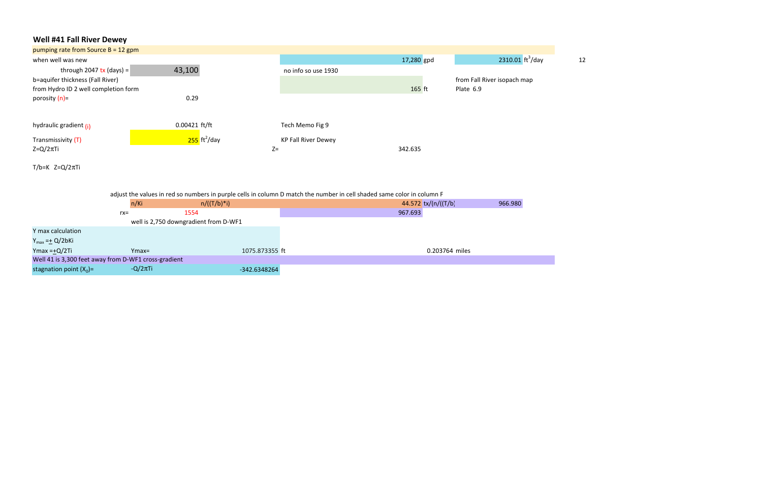# Well #41 Fall River Dewey

| pumping rate from Source $B = 12$ gpm |                            |                            |            |                                          |    |
|---------------------------------------|----------------------------|----------------------------|------------|------------------------------------------|----|
| when well was new                     |                            |                            | 17,280 gpd | 2310.01 $\frac{\text{ft}^3}{\text{day}}$ | 12 |
| through 2047 tx (days) =              | 43,100                     | no info so use 1930        |            |                                          |    |
| b=aquifer thickness (Fall River)      |                            |                            |            | from Fall River isopach map              |    |
| from Hydro ID 2 well completion form  |                            |                            | 165 ft     | Plate 6.9                                |    |
| porosity (n)=                         | 0.29                       |                            |            |                                          |    |
|                                       |                            |                            |            |                                          |    |
| hydraulic gradient (i)                | $0.00421$ ft/ft            | Tech Memo Fig 9            |            |                                          |    |
| Transmissivity (T)                    | $255$ ft <sup>2</sup> /day | <b>KP Fall River Dewey</b> |            |                                          |    |
| $Z = Q/2\pi T i$                      |                            | $Z=$                       | 342.635    |                                          |    |
|                                       |                            |                            |            |                                          |    |

T/b=K Z=Q/2πTi

adjust the values in red so numbers in purple cells in column D match the number in cell shaded same color in column F

|                                                      |        | $n/((T/b)*i)$<br>n/Ki                 |                | 966.980<br>44.572 $tx/(n/((T/b)))$ |
|------------------------------------------------------|--------|---------------------------------------|----------------|------------------------------------|
|                                                      | $rx =$ | 1554                                  |                | 967.693                            |
|                                                      |        | well is 2,750 downgradient from D-WF1 |                |                                    |
| Y max calculation                                    |        |                                       |                |                                    |
| $Y_{max} = \pm Q/2b$ Ki                              |        |                                       |                |                                    |
| Ymax = $+Q/2Ti$                                      |        | $Ymax=$                               | 1075.873355 ft | 0.203764 miles                     |
| Well 41 is 3,300 feet away from D-WF1 cross-gradient |        |                                       |                |                                    |
| stagnation point $(X_0)$ =                           |        | $-Q/2\pi T i/$                        | $-342.6348264$ |                                    |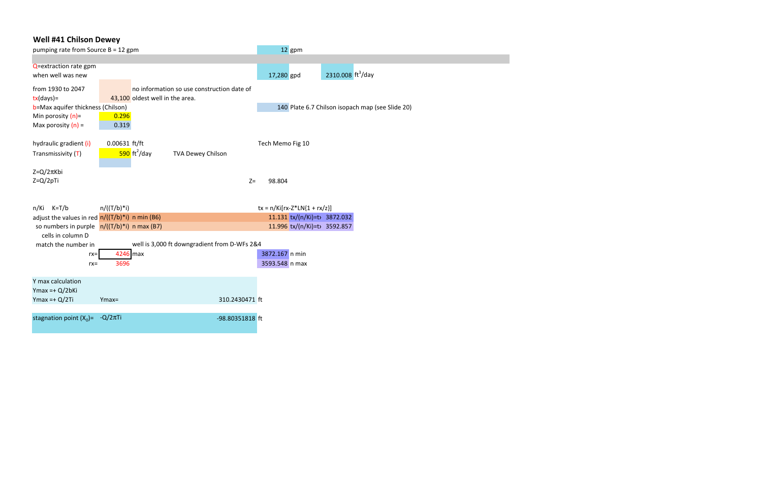## Well #41 Chilson Dewey

| pumping rate from Source B = 12 gpm               |               |                                      |                                              | 12 gpm                         |                               |                                                  |
|---------------------------------------------------|---------------|--------------------------------------|----------------------------------------------|--------------------------------|-------------------------------|--------------------------------------------------|
|                                                   |               |                                      |                                              |                                |                               |                                                  |
| Q=extraction rate gpm                             |               |                                      |                                              |                                |                               |                                                  |
| when well was new                                 |               |                                      |                                              | 17,280 gpd                     | 2310.008 ft <sup>3</sup> /day |                                                  |
| from 1930 to 2047                                 |               |                                      | no information so use construction date of   |                                |                               |                                                  |
| $tx/day$ )=                                       |               | 43,100 oldest well in the area.      |                                              |                                |                               |                                                  |
| b=Max aquifer thickness (Chilson)                 |               |                                      |                                              |                                |                               | 140 Plate 6.7 Chilson isopach map (see Slide 20) |
| Min porosity $(n)$ =                              | 0.296         |                                      |                                              |                                |                               |                                                  |
| Max porosity $(n)$ =                              | 0.319         |                                      |                                              |                                |                               |                                                  |
|                                                   |               |                                      |                                              |                                |                               |                                                  |
| hydraulic gradient (i)                            | 0.00631 ft/ft |                                      |                                              | Tech Memo Fig 10               |                               |                                                  |
| Transmissivity (T)                                |               | $\frac{590}{ }$ ft <sup>2</sup> /day | <b>TVA Dewey Chilson</b>                     |                                |                               |                                                  |
| $Z = Q/2\pi Kbi$                                  |               |                                      |                                              |                                |                               |                                                  |
| $Z = Q/2pTi$                                      |               |                                      | $Z=$                                         | 98.804                         |                               |                                                  |
|                                                   |               |                                      |                                              |                                |                               |                                                  |
| $n/Ki$ $K=T/b$                                    | $n/((T/b)*i)$ |                                      |                                              | $tx = n/Ki[rx-Z*LN{1 + rx/z}]$ |                               |                                                  |
| adjust the values in red $n/((T/b)*i)$ n min (B6) |               |                                      |                                              | 11.131 tx/(n/Ki)=t> 3872.032   |                               |                                                  |
| so numbers in purple $n/((T/b)^*i)$ n max (B7)    |               |                                      |                                              | 11.996 tx/(n/Ki)=t> 3592.857   |                               |                                                  |
| cells in column D                                 |               |                                      |                                              |                                |                               |                                                  |
| match the number in                               |               |                                      | well is 3,000 ft downgradient from D-WFs 2&4 |                                |                               |                                                  |
| $rx =$                                            | 4246 max      |                                      |                                              | 3872.167 n min                 |                               |                                                  |
| $rx =$                                            | 3696          |                                      |                                              | 3593.548 n max                 |                               |                                                  |
|                                                   |               |                                      |                                              |                                |                               |                                                  |
| Y max calculation                                 |               |                                      |                                              |                                |                               |                                                  |
| Ymax = $+ Q/2bKi$                                 |               |                                      |                                              |                                |                               |                                                  |
| $Y$ max =+ $Q/2$ Ti                               | $Ymax =$      |                                      | 310.2430471 ft                               |                                |                               |                                                  |
|                                                   |               |                                      |                                              |                                |                               |                                                  |
| stagnation point $(X_0) = -Q/2\pi T$ i            |               |                                      | -98.80351818 ft                              |                                |                               |                                                  |
|                                                   |               |                                      |                                              |                                |                               |                                                  |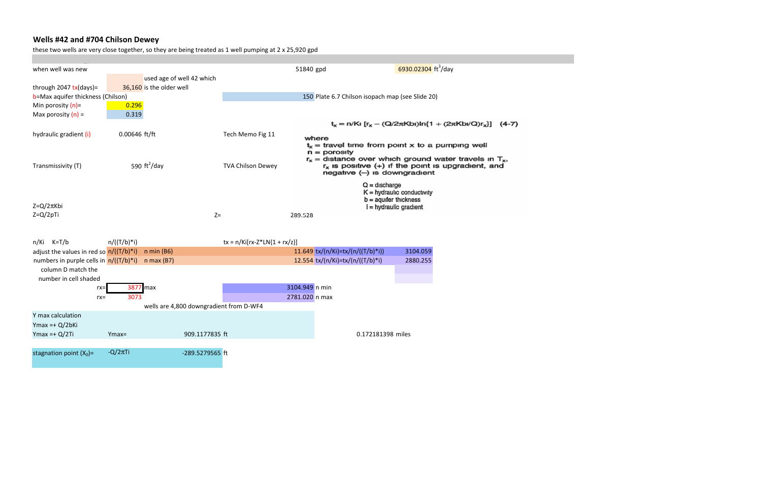# Wells #42 and #704 Chilson Dewey

these two wells are very close together, so they are being treated as 1 well pumping at 2 x 25,920 gpd

| when well was new                                    |                 |                                         |                                | 51840 gpd                                                                                                                                              |                                                                | 6930.02304 ft <sup>3</sup> /day                                                      |  |  |
|------------------------------------------------------|-----------------|-----------------------------------------|--------------------------------|--------------------------------------------------------------------------------------------------------------------------------------------------------|----------------------------------------------------------------|--------------------------------------------------------------------------------------|--|--|
|                                                      |                 | used age of well 42 which               |                                |                                                                                                                                                        |                                                                |                                                                                      |  |  |
| through 2047 $tx$ (days)=                            |                 | 36,160 is the older well                |                                |                                                                                                                                                        |                                                                |                                                                                      |  |  |
| b=Max aquifer thickness (Chilson)                    |                 |                                         |                                |                                                                                                                                                        | 150 Plate 6.7 Chilson isopach map (see Slide 20)               |                                                                                      |  |  |
| Min porosity $(n)$ =                                 | 0.296           |                                         |                                |                                                                                                                                                        |                                                                |                                                                                      |  |  |
| Max porosity $(n)$ =                                 | 0.319           |                                         |                                |                                                                                                                                                        |                                                                |                                                                                      |  |  |
|                                                      |                 |                                         |                                |                                                                                                                                                        | $t_x = n/Ki [r_x - (Q/2\pi Kbi)ln{1 + (2\pi Kbi/Q)r_x}]$ (4-7) |                                                                                      |  |  |
| hydraulic gradient (i)                               | $0.00646$ ft/ft |                                         | Tech Memo Fig 11               | where                                                                                                                                                  |                                                                |                                                                                      |  |  |
|                                                      |                 |                                         |                                |                                                                                                                                                        | $t_x$ = travel time from point x to a pumping well             |                                                                                      |  |  |
|                                                      |                 |                                         |                                |                                                                                                                                                        | $n =$ porosity                                                 |                                                                                      |  |  |
| 590 $\text{ft}^2/\text{day}$<br>Transmissivity (T)   |                 | <b>TVA Chilson Dewey</b>                |                                | $r_x$ = distance over which ground water travels in $T_x$ ,<br>$r_x$ is positive $(+)$ if the point is upgradient, and<br>negative (-) is downgradient |                                                                |                                                                                      |  |  |
| Z=Q/2πKbi                                            |                 |                                         |                                |                                                                                                                                                        | $Q =$ discharge                                                | $K =$ hydraulic conductivity<br>$b =$ aquifer thickness<br>$i = h$ ydraulic gradient |  |  |
| Z=Q/2pTi                                             |                 |                                         | $Z=$                           | 289.528                                                                                                                                                |                                                                |                                                                                      |  |  |
|                                                      |                 |                                         |                                |                                                                                                                                                        |                                                                |                                                                                      |  |  |
|                                                      |                 |                                         |                                |                                                                                                                                                        |                                                                |                                                                                      |  |  |
| $n/Ki$ $K=T/b$                                       | $n/((T/b)*i)$   |                                         | $tx = n/Ki[rx-Z*LN{1 + rx/z}]$ |                                                                                                                                                        |                                                                |                                                                                      |  |  |
| adjust the values in red so $n/((T/b)*i)$ n min (B6) |                 |                                         |                                |                                                                                                                                                        | 11.649 tx/(n/Ki)=tx/(n/((T/b)*i))                              | 3104.059                                                                             |  |  |
| numbers in purple cells in $n/((T/b)*i)$             |                 | $n$ max (B7)                            |                                |                                                                                                                                                        | 12.554 tx/(n/Ki)=tx/(n/((T/b)*i)                               | 2880.255                                                                             |  |  |
| column D match the                                   |                 |                                         |                                |                                                                                                                                                        |                                                                |                                                                                      |  |  |
| number in cell shaded                                |                 |                                         |                                |                                                                                                                                                        |                                                                |                                                                                      |  |  |
| rx=                                                  | 3877 max        |                                         |                                | 3104.949 n min                                                                                                                                         |                                                                |                                                                                      |  |  |
| $rx =$                                               | 3073            |                                         |                                | 2781.020 n max                                                                                                                                         |                                                                |                                                                                      |  |  |
|                                                      |                 | wells are 4,800 downgradient from D-WF4 |                                |                                                                                                                                                        |                                                                |                                                                                      |  |  |
| Y max calculation                                    |                 |                                         |                                |                                                                                                                                                        |                                                                |                                                                                      |  |  |
| Ymax =+ $Q/2bKi$                                     |                 |                                         |                                |                                                                                                                                                        |                                                                |                                                                                      |  |  |
| Ymax = $+ Q/2Ti$                                     | $Ymax =$        | 909.1177835 ft                          |                                |                                                                                                                                                        | 0.172181398 miles                                              |                                                                                      |  |  |
|                                                      |                 |                                         |                                |                                                                                                                                                        |                                                                |                                                                                      |  |  |
| stagnation point $(X_0)$ =                           | $-Q/2\pi$ Ti    | -289.5279565 ft                         |                                |                                                                                                                                                        |                                                                |                                                                                      |  |  |